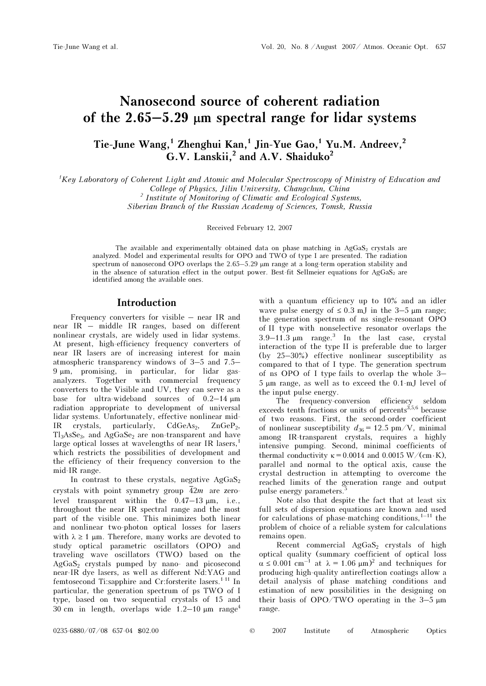# Nanosecond source of coherent radiation of the  $2.65 - 5.29$  µm spectral range for lidar systems

## Tie-June Wang,<sup>1</sup> Zhenghui Kan,<sup>1</sup> Jin-Yue Gao,<sup>1</sup> Yu.M. Andreev,<sup>2</sup>  $G.V.$  Lanskii,<sup>2</sup> and A.V. Shaiduko<sup>2</sup>

<sup>1</sup>Key Laboratory of Coherent Light and Atomic and Molecular Spectroscopy of Ministry of Education and College of Physics, Jilin University, Changchun, China <sup>2</sup> Institute of Monitoring of Climatic and Ecological Systems,

Siberian Branch of the Russian Academy of Sciences, Tomsk, Russia

Received February 12, 2007

The available and experimentally obtained data on phase matching in  $AgGaS<sub>2</sub>$  crystals are analyzed. Model and experimental results for OPO and TWO of type I are presented. The radiation spectrum of nanosecond OPO overlaps the 2.65–5.29  $\mu$ m range at a long-term operation stability and in the absence of saturation effect in the output power. Best-fit Sellmeier equations for  $AgGaS<sub>2</sub>$  are identified among the available ones.

### Introduction

Frequency converters for visible – near IR and near IR – middle IR ranges, based on different nonlinear crystals, are widely used in lidar systems. At present, high-efficiency frequency converters of near IR lasers are of increasing interest for main atmospheric transparency windows of 3–5 and 7.5– 9 μm, promising, in particular, for lidar gasanalyzers. Together with commercial frequency converters to the Visible and UV, they can serve as a base for ultra-wideband sources of 0.2–14 μm radiation appropriate to development of universal lidar systems. Unfortunately, effective nonlinear mid-IR crystals, particularly,  $CdGeAs<sub>2</sub>$ ,  $ZnGeP<sub>2</sub>$ ,  $Tl_3AsSe_3$ , and  $AgGaSe_2$  are non-transparent and have large optical losses at wavelengths of near IR lasers.<sup>1</sup> which restricts the possibilities of development and the efficiency of their frequency conversion to the mid-IR range.

In contrast to these crystals, negative  $AgGaS<sub>2</sub>$ crystals with point symmetry group  $\overline{4}2m$  are zerolevel transparent within the 0.47–13 μm, i.e., throughout the near IR spectral range and the most part of the visible one. This minimizes both linear and nonlinear two-photon optical losses for lasers with  $\lambda \geq 1$  μm. Therefore, many works are devoted to study optical parametric oscillators (OPO) and traveling wave oscillators (TWO) based on the AgGaS2 crystals pumped by nano- and picosecond near-IR dye lasers, as well as different Nd:YAG and femtosecond Ti:sapphire and Cr:forsterite lasers.<sup>1-11</sup> In particular, the generation spectrum of ps TWO of I type, based on two sequential crystals of 15 and 30 cm in length, overlaps wide  $1.2-10 \mu m$  range<sup>4</sup>

with a quantum efficiency up to 10% and an idler wave pulse energy of  $\leq 0.3$  mJ in the 3–5  $\mu$ m range; the generation spectrum of ns single-resonant OPO of II type with nonselective resonator overlaps the  $3.9-11.3 \mu m$  range.<sup>3</sup> In the last case, crystal interaction of the type II is preferable due to larger (by 25–30%) effective nonlinear susceptibility as compared to that of I type. The generation spectrum of ns OPO of I type fails to overlap the whole 3– 5 μm range, as well as to exceed the 0.1-mJ level of the input pulse energy.

The frequency-conversion efficiency seldom exceeds tenth fractions or units of percents $3,5,6$  because of two reasons. First, the second-order coefficient of nonlinear susceptibility  $d_{36} = 12.5$  pm/V, minimal among IR-transparent crystals, requires a highly intensive pumping. Second, minimal coefficients of thermal conductivity  $\kappa = 0.0014$  and 0.0015 W/(cm⋅K), parallel and normal to the optical axis, cause the crystal destruction in attempting to overcome the reached limits of the generation range and output pulse energy parameters.<sup>5</sup>

Note also that despite the fact that at least six full sets of dispersion equations are known and used for calculations of phase-matching conditions, $1-11$  the problem of choice of a reliable system for calculations remains open.

Recent commercial  $AgGaS<sub>2</sub>$  crystals of high optical quality (summary coefficient of optical loss  $\alpha \leq 0.001$  cm<sup>-1</sup> at  $\lambda = 1.06$   $\mu$ m)<sup>2</sup> and techniques for producing high-quality antireflection coatings allow a detail analysis of phase matching conditions and estimation of new possibilities in the designing on their basis of  $OPO/TWO$  operating in the 3-5  $\mu$ m range.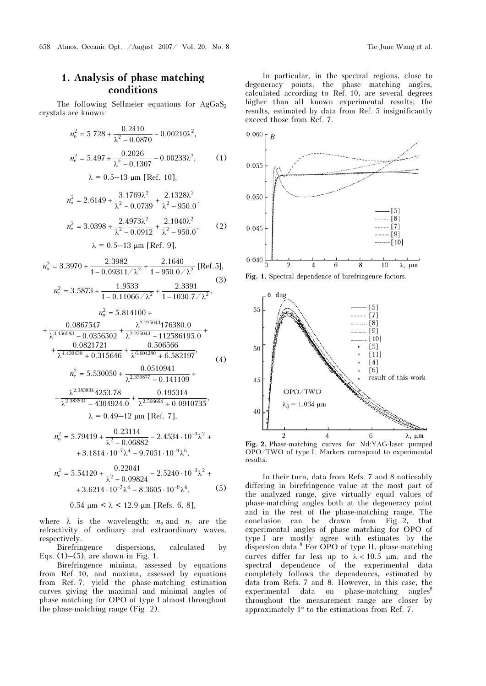## 1. Analysis of phase matching conditions

The following Sellmeier equations for  $AgGaS<sub>2</sub>$ crystals are known:

$$
n_o^2 = 5.728 + \frac{0.2410}{\lambda^2 - 0.0870} - 0.00210\lambda^2,
$$
  

$$
n_e^2 = 5.497 + \frac{0.2026}{\lambda^2 - 0.1307} - 0.00233\lambda^2,
$$
 (1)

$$
\lambda = 0.5 - 13 \text{ }\mu\text{m [Ref. 10]},
$$

$$
n_0^2 = 2.6149 + \frac{3.1769\lambda^2}{\lambda^2 - 0.0739} + \frac{2.1328\lambda^2}{\lambda^2 - 950.0},
$$
  

$$
n_e^2 = 3.0398 + \frac{2.4973\lambda^2}{\lambda^2 - 0.0912} + \frac{2.1040\lambda^2}{\lambda^2 - 950.0},
$$
 (2)

$$
\lambda = 0.5 - 13 \mu m
$$
 [Ref. 9],

$$
n_0^2 = 3.3970 + \frac{2.3982}{1 - 0.09311/\lambda^2} + \frac{2.1640}{1 - 950.0/\lambda^2}
$$
 [Ref. 5],  

$$
n_e^2 = 3.5873 + \frac{1.9533}{1 - 0.11066/\lambda^2} + \frac{2.3391}{1 - 1030.7/\lambda^2},
$$
(3)

$$
n_0^2 = 5.814100 +
$$
  
+ 
$$
\frac{0.0867547}{\lambda^{3.156983} - 0.0356502} + \frac{\lambda^{2.225043}176380.0}{\lambda^{2.225043} - 112586195.0} +
$$
  
+ 
$$
\frac{0.0821721}{\lambda^{4.430430} + 0.315646} + \frac{0.506566}{\lambda^{6.604280} + 6.582197},
$$
  

$$
n_e^2 = 5.530050 + \frac{0.0510941}{\lambda^{2.359877} - 0.141109} +
$$
 (4)

$$
+\frac{\lambda^{2.383834}4253.78}{\lambda^{2.383834}-4304924.0}+\frac{0.195314}{\lambda^{2.566664}+0.0910735},
$$
  

$$
\lambda = 0.49-12 \text{ }\mu\text{m [Ref. 7],}
$$

$$
n_0^2 = 5.79419 + \frac{0.23114}{\lambda^2 - 0.06882} - 2.4534 \cdot 10^{-3} \lambda^2 + 3.1814 \cdot 10^{-7} \lambda^4 - 9.7051 \cdot 10^{-9} \lambda^6,
$$

$$
n_{\rm e}^2 = 5.54120 + \frac{0.22041}{\lambda^2 - 0.09824} - 2.5240 \cdot 10^{-3} \lambda^2 ++ 3.6214 \cdot 10^{-7} \lambda^4 - 8.3605 \cdot 10^{-9} \lambda^6, \tag{5}
$$

#### 0.54 μm < λ < 12.9 μm [Refs. 6, 8],

where  $\lambda$  is the wavelength;  $n_0$  and  $n_e$  are the refractivity of ordinary and extraordinary waves, respectively.

Birefringence dispersions, calculated by Eqs.  $(1)$ – $(5)$ , are shown in Fig. 1.

Birefringence minima, assessed by equations from Ref. 10, and maxima, assessed by equations from Ref. 7, yield the phase-matching estimation curves giving the maximal and minimal angles of phase matching for OPO of type I almost throughout the phase-matching range (Fig. 2).

In particular, in the spectral regions, close to degeneracy points, the phase matching angles, calculated according to Ref. 10, are several degrees higher than all known experimental results; the results, estimated by data from Ref. 5 insignificantly exceed those from Ref. 7.







Fig. 2. Phase-matching curves for Nd:YAG-laser pumped OPO/TWO of type I. Markers correspond to experimental results.

In their turn, data from Refs. 7 and 8 noticeably differing in birefringence value at the most part of the analyzed range, give virtually equal values of phase-matching angles both at the degeneracy point and in the rest of the phase-matching range. The conclusion can be drawn from Fig. 2, that experimental angles of phase matching for OPO of type I are mostly agree with estimates by the dispersion data.<sup>8</sup> For OPO of type II, phase-matching curves differ far less up to  $\lambda < 10.5$  µm, and the spectral dependence of the experimental data completely follows the dependences, estimated by data from Refs. 7 and 8. However, in this case, the  $experimental$  data on phase-matching angles<sup>8</sup> throughout the measurement range are closer by approximately 1° to the estimations from Ref. 7.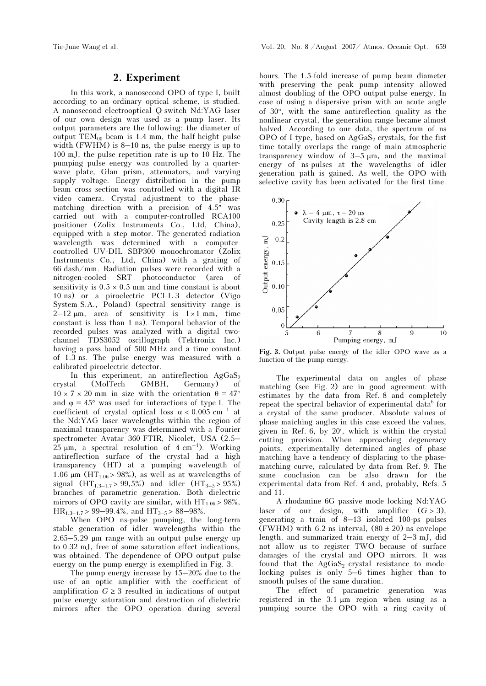#### 2. Experiment

In this work, a nanosecond OPO of type I, built according to an ordinary optical scheme, is studied. A nanosecond electrooptical Q-switch Nd:YAG laser of our own design was used as a pump laser. Its output parameters are the following: the diameter of output  $TEM_{00}$  beam is 1.4 mm, the half-height pulse width (FWHM) is 8–10 ns, the pulse energy is up to 100 mJ, the pulse repetition rate is up to 10 Hz. The pumping pulse energy was controlled by a quarterwave plate, Glan prism, attenuators, and varying supply voltage. Energy distribution in the pump beam cross section was controlled with a digital IR video camera. Crystal adjustment to the phasematching direction with a precision of 4.5″ was carried out with a computer-controlled RCA100 positioner (Zolix Instruments Co., Ltd, China), equipped with a step motor. The generated radiation wavelength was determined with a computercontrolled UV-DIL SBP300 monochromator (Zolix Instruments Co., Ltd, China) with a grating of 66 dash/mm. Radiation pulses were recorded with a nitrogen-cooled SRT photoconductor (area of sensitivity is  $0.5 \times 0.5$  mm and time constant is about 10 ns) or a piroelectric PCI-L-3 detector (Vigo System S.A., Poland) (spectral sensitivity range is  $2-12 \mu m$ , area of sensitivity is  $1 \times 1 \text{ mm}$ , time constant is less than 1 ns). Temporal behavior of the recorded pulses was analyzed with a digital twochannel TDS3052 oscillograph (Tektronix Inc.) having a pass band of 500 MHz and a time constant of 1.3 ns. The pulse energy was measured with a calibrated piroelectric detector.

In this experiment, an antireflection  $AgGaS<sub>2</sub>$ crystal (MolTech GMBH, Germany) of  $10 \times 7 \times 20$  mm in size with the orientation  $\theta = 47^{\circ}$ and  $\varphi = 45^{\circ}$  was used for interactions of type I. The coefficient of crystal optical loss  $\alpha < 0.005$  cm<sup>-1</sup> at the Nd:YAG laser wavelengths within the region of maximal transparency was determined with a Fourier spectrometer Avatar 360 FTIR, Nicolet, USA (2.5–  $25 \mu m$ , a spectral resolution of  $4 \text{ cm}^{-1}$ ). Working antireflection surface of the crystal had a high transparency (HT) at a pumping wavelength of 1.06 μm (HT<sub>1.06</sub> > 98%), as well as at wavelengths of signal  $(HT_{1,3-1.7} > 99,5\%)$  and idler  $(HT_{3-5} > 95\%)$ branches of parametric generation. Both dielectric mirrors of OPO cavity are similar, with  $HT_{1.06}$  > 98%,  $HR_{1.3-1.7}$  > 99-99.4%, and  $HT_{3-5}$  > 88-98%.

When OPO ns-pulse pumping, the long-term stable generation of idler wavelengths within the 2.65–5.29 μm range with an output pulse energy up to 0.32 mJ, free of some saturation effect indications, was obtained. The dependence of OPO output pulse energy on the pump energy is exemplified in Fig. 3.

The pump energy increase by 15–20% due to the use of an optic amplifier with the coefficient of amplification  $G \geq 3$  resulted in indications of output pulse energy saturation and destruction of dielectric mirrors after the OPO operation during several

hours. The 1.5-fold increase of pump beam diameter with preserving the peak pump intensity allowed almost doubling of the OPO output pulse energy. In case of using a dispersive prism with an acute angle of 30°, with the same antireflection quality as the nonlinear crystal, the generation range became almost halved. According to our data, the spectrum of ns OPO of I type, based on  $AgGaS<sub>2</sub>$  crystals, for the fist time totally overlaps the range of main atmospheric transparency window of  $3-5 \mu m$ , and the maximal energy of ns-pulses at the wavelengths of idler generation path is gained. As well, the OPO with selective cavity has been activated for the first time.



Fig. 3. Output pulse energy of the idler OPO wave as a function of the pump energy.

The experimental data on angles of phase matching (see Fig. 2) are in good agreement with estimates by the data from Ref. 8 and completely repeat the spectral behavior of experimental data<sup>6</sup> for a crystal of the same producer. Absolute values of phase matching angles in this case exceed the values, given in Ref. 6, by 20′, which is within the crystal cutting precision. When approaching degeneracy points, experimentally determined angles of phase matching have a tendency of displacing to the phasematching curve, calculated by data from Ref. 9. The same conclusion can be also drawn for the experimental data from Ref. 4 and, probably, Refs. 5 and 11.

A rhodamine 6G passive mode locking Nd:YAG laser of our design, with amplifier  $(G > 3)$ , generating a train of 8–13 isolated 100-ps pulses (FWHM) with 6.2-ns interval,  $(80 \pm 20)$ -ns envelope length, and summarized train energy of 2–3 mJ, did not allow us to register TWO because of surface damages of the crystal and OPO mirrors. It was found that the  $AgGaS<sub>2</sub>$  crystal resistance to modelocking pulses is only 5–6 times higher than to smooth pulses of the same duration.

The effect of parametric generation was registered in the 3.1 μm region when using as a pumping source the OPO with a ring cavity of